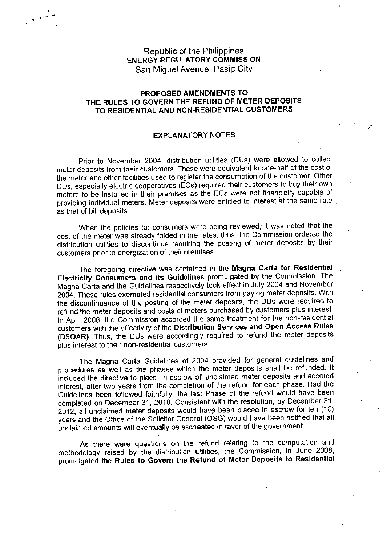## Republic of the Philippines ENERGY REGULATORY COMMISSION San Miguel Avenue, Pasig City

*• i*

## PROPOSED AMENDMENTS TO THE RULES TO GOVERN THE REFUND OF METER DEPOSITS TO RESIDENTIAL AND NON-RESIDENTIAL CUSTOMERS

## EXPLANATORY NOTES

Prior to November 2004, distribution utilities (DUs) were allowed to collect meter deposits from their customers. These were equivalent to one-half of the cost of the meter and other facilities used to register the consumption of the customer. Other DUs, especially electric cooperatives (ECs) required their customers to buy their own meters to be installed in their premises as the EGs were not financially capable of providing individual meters. Meter deposits were entitled to interest at the same rate as that of bill deposits.

When the policies for consumers were being reviewed, it was noted that the cost of the meter was already folded in the rates, thus, the Commission ordered the distribution utilities to discontinue requiring the posting of meter deposits by their customers prior to energization of their premises.

The foregoing directive was contained in the **Magna Carta for Residential Electricity Consumers and its Guidelines** promulgated by the Commission. The Magna Carta and the Guidelines respectively took effect in July 2004 and November 2004. These rules exempted residential consumers from paying meter deposits. With the discontinuance of the posting of the meter deposits, the DUs were required to refund the meter deposits and costs of meters purchased by customers plus interest. In April 2006, the Commission accorded the same treatment for the non-residential customers with the effectivity of the **Distribution Services and Open Access Rules** (OS OAR). Thus, the DUs were accordingly required to refund the meter deposits plus interest to their noh-residential customers.

The Magna Carta Guidelines of 2004 provided for general guidelines and procedures as well as the phases which the meter deposits shall be refunded. It included the directive to place, in escrow all unclaimed meter deposits and accrued interest, after two years from the completion of the refund for each phase. Had the Guidelines been followed faithfully, the last Phase of the refund would have been completed on December 31, 2010. Consistent with the resolution, by December 31, 2012, all unclaimed meter deposits would have been placed in escrow for ten (10) years and the Office of the Solicitor General (08G) would have been notified that all unclaimed amounts will eventually be escheated in favor of the government.

As there were questions on the refund relating to the computation and methodology raised by the distribution utilities, the Commission, in June 200B, promulgated the **Rules to Govern the Refund of Meter Deposits to Residential**